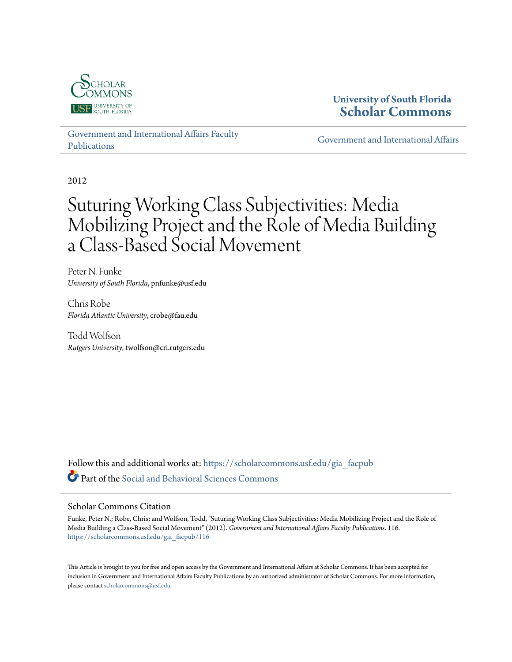

# **University of South Florida [Scholar Commons](https://scholarcommons.usf.edu?utm_source=scholarcommons.usf.edu%2Fgia_facpub%2F116&utm_medium=PDF&utm_campaign=PDFCoverPages)**

[Government and International Affairs Faculty](https://scholarcommons.usf.edu/gia_facpub?utm_source=scholarcommons.usf.edu%2Fgia_facpub%2F116&utm_medium=PDF&utm_campaign=PDFCoverPages) [Publications](https://scholarcommons.usf.edu/gia_facpub?utm_source=scholarcommons.usf.edu%2Fgia_facpub%2F116&utm_medium=PDF&utm_campaign=PDFCoverPages)

[Government and International Affairs](https://scholarcommons.usf.edu/gia?utm_source=scholarcommons.usf.edu%2Fgia_facpub%2F116&utm_medium=PDF&utm_campaign=PDFCoverPages)

2012

# Suturing Working Class Subjectivities: Media Mobilizing Project and the Role of Media Building a Class-Based Social Movement

Peter N. Funke *University of South Florida*, pnfunke@usf.edu

Chris Robe *Florida Atlantic University*, crobe@fau.edu

Todd Wolfson *Rutgers University*, twolfson@cri.rutgers.edu

Follow this and additional works at: [https://scholarcommons.usf.edu/gia\\_facpub](https://scholarcommons.usf.edu/gia_facpub?utm_source=scholarcommons.usf.edu%2Fgia_facpub%2F116&utm_medium=PDF&utm_campaign=PDFCoverPages) Part of the [Social and Behavioral Sciences Commons](http://network.bepress.com/hgg/discipline/316?utm_source=scholarcommons.usf.edu%2Fgia_facpub%2F116&utm_medium=PDF&utm_campaign=PDFCoverPages)

## Scholar Commons Citation

Funke, Peter N.; Robe, Chris; and Wolfson, Todd, "Suturing Working Class Subjectivities: Media Mobilizing Project and the Role of Media Building a Class-Based Social Movement" (2012). *Government and International Affairs Faculty Publications*. 116. [https://scholarcommons.usf.edu/gia\\_facpub/116](https://scholarcommons.usf.edu/gia_facpub/116?utm_source=scholarcommons.usf.edu%2Fgia_facpub%2F116&utm_medium=PDF&utm_campaign=PDFCoverPages)

This Article is brought to you for free and open access by the Government and International Affairs at Scholar Commons. It has been accepted for inclusion in Government and International Affairs Faculty Publications by an authorized administrator of Scholar Commons. For more information, please contact [scholarcommons@usf.edu.](mailto:scholarcommons@usf.edu)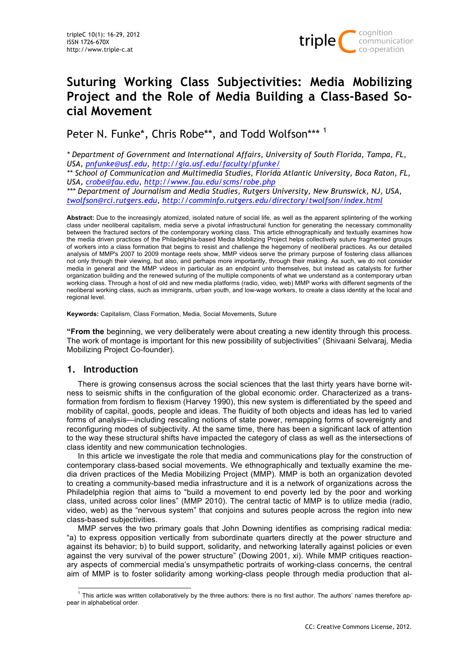

# **Suturing Working Class Subjectivities: Media Mobilizing Project and the Role of Media Building a Class-Based Social Movement**

Peter N. Funke\*, Chris Robe\*\*, and Todd Wolfson\*\*\*<sup>1</sup>

*\* Department of Government and International Affairs, University of South Florida, Tampa, FL, USA, pnfunke@usf.edu, http://gia.usf.edu/faculty/pfunke/*

*\*\* School of Communication and Multimedia Studies, Florida Atlantic University, Boca Raton, FL, USA, crobe@fau.edu, http://www.fau.edu/scms/robe.php*

*\*\*\* Department of Journalism and Media Studies, Rutgers University, New Brunswick, NJ, USA, twolfson@rci.rutgers.edu, http://comminfo.rutgers.edu/directory/twolfson/index.html*

**Abstract:** Due to the increasingly atomized, isolated nature of social life, as well as the apparent splintering of the working class under neoliberal capitalism, media serve a pivotal infrastructural function for generating the necessary commonality between the fractured sectors of the contemporary working class. This article ethnographically and textually examines how the media driven practices of the Philadelphia-based Media Mobilizing Project helps collectively suture fragmented groups of workers into a class formation that begins to resist and challenge the hegemony of neoliberal practices. As our detailed analysis of MMP's 2007 to 2009 montage reels show, MMP videos serve the primary purpose of fostering class alliances not only through their viewing, but also, and perhaps more importantly, through their making. As such, we do not consider media in general and the MMP videos in particular as an endpoint unto themselves, but instead as catalysts for further organization building and the renewed suturing of the multiple components of what we understand as a contemporary urban working class. Through a host of old and new media platforms (radio, video, web) MMP works with different segments of the neoliberal working class, such as immigrants, urban youth, and low-wage workers, to create a class identity at the local and regional level.

**Keywords:** Capitalism, Class Formation, Media, Social Movements, Suture

**"From the** beginning, we very deliberately were about creating a new identity through this process. The work of montage is important for this new possibility of subjectivities" (Shivaani Selvaraj, Media Mobilizing Project Co-founder).

## **1. Introduction**

There is growing consensus across the social sciences that the last thirty years have borne witness to seismic shifts in the configuration of the global economic order. Characterized as a transformation from fordism to flexism (Harvey 1990), this new system is differentiated by the speed and mobility of capital, goods, people and ideas. The fluidity of both objects and ideas has led to varied forms of analysis—including rescaling notions of state power, remapping forms of sovereignty and reconfiguring modes of subjectivity. At the same time, there has been a significant lack of attention to the way these structural shifts have impacted the category of class as well as the intersections of class identity and new communication technologies.

In this article we investigate the role that media and communications play for the construction of contemporary class-based social movements. We ethnographically and textually examine the media driven practices of the Media Mobilizing Project (MMP). MMP is both an organization devoted to creating a community-based media infrastructure and it is a network of organizations across the Philadelphia region that aims to "build a movement to end poverty led by the poor and working class, united across color lines" (MMP 2010). The central tactic of MMP is to utilize media (radio, video, web) as the "nervous system" that conjoins and sutures people across the region into new class-based subjectivities.

MMP serves the two primary goals that John Downing identifies as comprising radical media: "a) to express opposition vertically from subordinate quarters directly at the power structure and against its behavior; b) to build support, solidarity, and networking laterally against policies or even against the very survival of the power structure" (Dowing 2001, xi). While MMP critiques reactionary aspects of commercial media's unsympathetic portraits of working-class concerns, the central aim of MMP is to foster solidarity among working-class people through media production that al-

 $<sup>1</sup>$  This article was written collaboratively by the three authors: there is no first author. The authors' names therefore ap-</sup> pear in alphabetical order.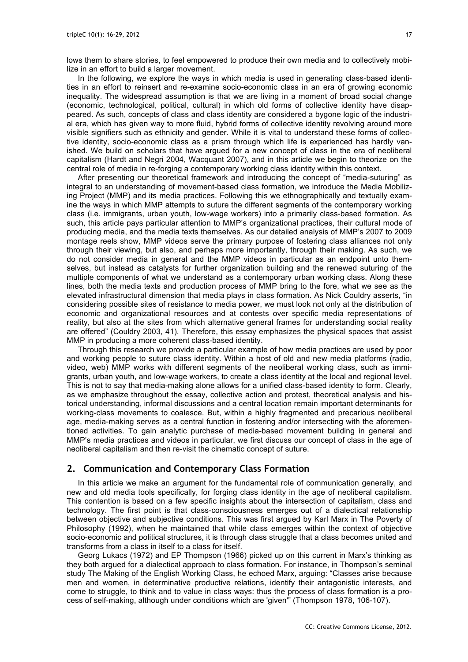lows them to share stories, to feel empowered to produce their own media and to collectively mobilize in an effort to build a larger movement.

In the following, we explore the ways in which media is used in generating class-based identities in an effort to reinsert and re-examine socio-economic class in an era of growing economic inequality. The widespread assumption is that we are living in a moment of broad social change (economic, technological, political, cultural) in which old forms of collective identity have disappeared. As such, concepts of class and class identity are considered a bygone logic of the industrial era, which has given way to more fluid, hybrid forms of collective identity revolving around more visible signifiers such as ethnicity and gender. While it is vital to understand these forms of collective identity, socio-economic class as a prism through which life is experienced has hardly vanished. We build on scholars that have argued for a new concept of class in the era of neoliberal capitalism (Hardt and Negri 2004, Wacquant 2007), and in this article we begin to theorize on the central role of media in re-forging a contemporary working class identity within this context.

After presenting our theoretical framework and introducing the concept of "media-suturing" as integral to an understanding of movement-based class formation, we introduce the Media Mobilizing Project (MMP) and its media practices. Following this we ethnographically and textually examine the ways in which MMP attempts to suture the different segments of the contemporary working class (i.e. immigrants, urban youth, low-wage workers) into a primarily class-based formation. As such, this article pays particular attention to MMP's organizational practices, their cultural mode of producing media, and the media texts themselves. As our detailed analysis of MMP's 2007 to 2009 montage reels show, MMP videos serve the primary purpose of fostering class alliances not only through their viewing, but also, and perhaps more importantly, through their making. As such, we do not consider media in general and the MMP videos in particular as an endpoint unto themselves, but instead as catalysts for further organization building and the renewed suturing of the multiple components of what we understand as a contemporary urban working class. Along these lines, both the media texts and production process of MMP bring to the fore, what we see as the elevated infrastructural dimension that media plays in class formation. As Nick Couldry asserts, "in considering possible sites of resistance to media power, we must look not only at the distribution of economic and organizational resources and at contests over specific media representations of reality, but also at the sites from which alternative general frames for understanding social reality are offered" (Couldry 2003, 41). Therefore, this essay emphasizes the physical spaces that assist MMP in producing a more coherent class-based identity.

Through this research we provide a particular example of how media practices are used by poor and working people to suture class identity. Within a host of old and new media platforms (radio, video, web) MMP works with different segments of the neoliberal working class, such as immigrants, urban youth, and low-wage workers, to create a class identity at the local and regional level. This is not to say that media-making alone allows for a unified class-based identity to form. Clearly, as we emphasize throughout the essay, collective action and protest, theoretical analysis and historical understanding, informal discussions and a central location remain important determinants for working-class movements to coalesce. But, within a highly fragmented and precarious neoliberal age, media-making serves as a central function in fostering and/or intersecting with the aforementioned activities. To gain analytic purchase of media-based movement building in general and MMP's media practices and videos in particular, we first discuss our concept of class in the age of neoliberal capitalism and then re-visit the cinematic concept of suture.

#### **2. Communication and Contemporary Class Formation**

In this article we make an argument for the fundamental role of communication generally, and new and old media tools specifically, for forging class identity in the age of neoliberal capitalism. This contention is based on a few specific insights about the intersection of capitalism, class and technology. The first point is that class-consciousness emerges out of a dialectical relationship between objective and subjective conditions. This was first argued by Karl Marx in The Poverty of Philosophy (1992), when he maintained that while class emerges within the context of objective socio-economic and political structures, it is through class struggle that a class becomes united and transforms from a class in itself to a class for itself.

Georg Lukacs (1972) and EP Thompson (1966) picked up on this current in Marx's thinking as they both argued for a dialectical approach to class formation. For instance, in Thompson's seminal study The Making of the English Working Class, he echoed Marx, arguing: "Classes arise because men and women, in determinative productive relations, identify their antagonistic interests, and come to struggle, to think and to value in class ways: thus the process of class formation is a process of self-making, although under conditions which are 'given'" (Thompson 1978, 106-107).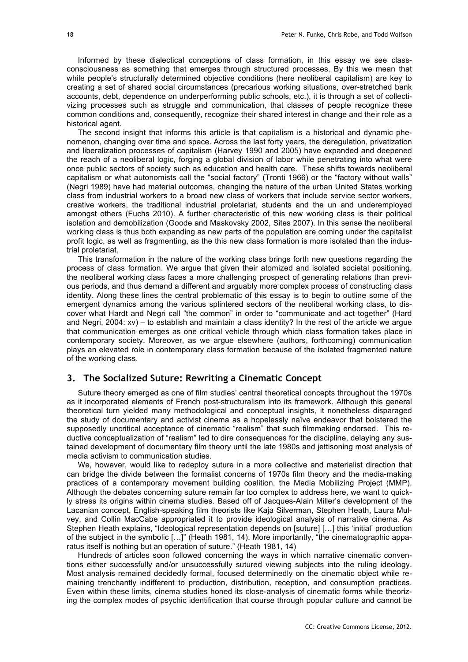Informed by these dialectical conceptions of class formation, in this essay we see classconsciousness as something that emerges through structured processes. By this we mean that while people's structurally determined objective conditions (here neoliberal capitalism) are key to creating a set of shared social circumstances (precarious working situations, over-stretched bank accounts, debt, dependence on underperforming public schools, etc.), it is through a set of collectivizing processes such as struggle and communication, that classes of people recognize these common conditions and, consequently, recognize their shared interest in change and their role as a historical agent.

The second insight that informs this article is that capitalism is a historical and dynamic phenomenon, changing over time and space. Across the last forty years, the deregulation, privatization and liberalization processes of capitalism (Harvey 1990 and 2005) have expanded and deepened the reach of a neoliberal logic, forging a global division of labor while penetrating into what were once public sectors of society such as education and health care. These shifts towards neoliberal capitalism or what autonomists call the "social factory" (Tronti 1966) or the "factory without walls" (Negri 1989) have had material outcomes, changing the nature of the urban United States working class from industrial workers to a broad new class of workers that include service sector workers, creative workers, the traditional industrial proletariat, students and the un and underemployed amongst others (Fuchs 2010). A further characteristic of this new working class is their political isolation and demobilization (Goode and Maskovsky 2002, Sites 2007). In this sense the neoliberal working class is thus both expanding as new parts of the population are coming under the capitalist profit logic, as well as fragmenting, as the this new class formation is more isolated than the industrial proletariat.

This transformation in the nature of the working class brings forth new questions regarding the process of class formation. We argue that given their atomized and isolated societal positioning, the neoliberal working class faces a more challenging prospect of generating relations than previous periods, and thus demand a different and arguably more complex process of constructing class identity. Along these lines the central problematic of this essay is to begin to outline some of the emergent dynamics among the various splintered sectors of the neoliberal working class, to discover what Hardt and Negri call "the common" in order to "communicate and act together" (Hard and Negri, 2004: xv) – to establish and maintain a class identity? In the rest of the article we argue that communication emerges as one critical vehicle through which class formation takes place in contemporary society. Moreover, as we argue elsewhere (authors, forthcoming) communication plays an elevated role in contemporary class formation because of the isolated fragmented nature of the working class.

# **3. The Socialized Suture: Rewriting a Cinematic Concept**

Suture theory emerged as one of film studies' central theoretical concepts throughout the 1970s as it incorporated elements of French post-structuralism into its framework. Although this general theoretical turn yielded many methodological and conceptual insights, it nonetheless disparaged the study of documentary and activist cinema as a hopelessly naïve endeavor that bolstered the supposedly uncritical acceptance of cinematic "realism" that such filmmaking endorsed. This reductive conceptualization of "realism" led to dire consequences for the discipline, delaying any sustained development of documentary film theory until the late 1980s and jettisoning most analysis of media activism to communication studies.

We, however, would like to redeploy suture in a more collective and materialist direction that can bridge the divide between the formalist concerns of 1970s film theory and the media-making practices of a contemporary movement building coalition, the Media Mobilizing Project (MMP). Although the debates concerning suture remain far too complex to address here, we want to quickly stress its origins within cinema studies. Based off of Jacques-Alain Miller's development of the Lacanian concept, English-speaking film theorists like Kaja Silverman, Stephen Heath, Laura Mulvey, and Collin MacCabe appropriated it to provide ideological analysis of narrative cinema. As Stephen Heath explains, "Ideological representation depends on [suture] […] this 'initial' production of the subject in the symbolic […]" (Heath 1981, 14). More importantly, "the cinematographic apparatus itself is nothing but an operation of suture." (Heath 1981, 14)

Hundreds of articles soon followed concerning the ways in which narrative cinematic conventions either successfully and/or unsuccessfully sutured viewing subjects into the ruling ideology. Most analysis remained decidedly formal, focused determinedly on the cinematic object while remaining trenchantly indifferent to production, distribution, reception, and consumption practices. Even within these limits, cinema studies honed its close-analysis of cinematic forms while theorizing the complex modes of psychic identification that course through popular culture and cannot be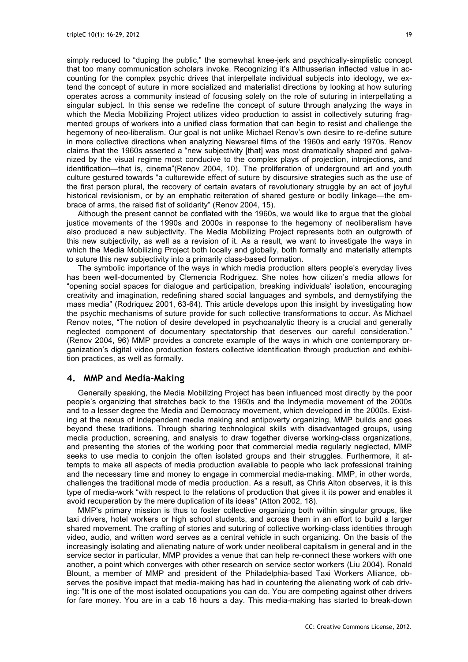simply reduced to "duping the public," the somewhat knee-jerk and psychically-simplistic concept that too many communication scholars invoke. Recognizing it's Althusserian inflected value in accounting for the complex psychic drives that interpellate individual subjects into ideology, we extend the concept of suture in more socialized and materialist directions by looking at how suturing operates across a community instead of focusing solely on the role of suturing in interpellating a singular subject. In this sense we redefine the concept of suture through analyzing the ways in which the Media Mobilizing Project utilizes video production to assist in collectively suturing fragmented groups of workers into a unified class formation that can begin to resist and challenge the hegemony of neo-liberalism. Our goal is not unlike Michael Renov's own desire to re-define suture in more collective directions when analyzing Newsreel films of the 1960s and early 1970s. Renov claims that the 1960s asserted a "new subjectivity [that] was most dramatically shaped and galvanized by the visual regime most conducive to the complex plays of projection, introjections, and identification—that is, cinema"(Renov 2004, 10). The proliferation of underground art and youth culture gestured towards "a culturewide effect of suture by discursive strategies such as the use of the first person plural, the recovery of certain avatars of revolutionary struggle by an act of joyful historical revisionism, or by an emphatic reiteration of shared gesture or bodily linkage—the embrace of arms, the raised fist of solidarity" (Renov 2004, 15).

Although the present cannot be conflated with the 1960s, we would like to argue that the global justice movements of the 1990s and 2000s in response to the hegemony of neoliberalism have also produced a new subjectivity. The Media Mobilizing Project represents both an outgrowth of this new subjectivity, as well as a revision of it. As a result, we want to investigate the ways in which the Media Mobilizing Project both locally and globally, both formally and materially attempts to suture this new subjectivity into a primarily class-based formation.

The symbolic importance of the ways in which media production alters people's everyday lives has been well-documented by Clemencia Rodriguez. She notes how citizen's media allows for "opening social spaces for dialogue and participation, breaking individuals' isolation, encouraging creativity and imagination, redefining shared social languages and symbols, and demystifying the mass media" (Rodriquez 2001, 63-64). This article develops upon this insight by investigating how the psychic mechanisms of suture provide for such collective transformations to occur. As Michael Renov notes, "The notion of desire developed in psychoanalytic theory is a crucial and generally neglected component of documentary spectatorship that deserves our careful consideration." (Renov 2004, 96) MMP provides a concrete example of the ways in which one contemporary organization's digital video production fosters collective identification through production and exhibition practices, as well as formally.

## **4. MMP and Media-Making**

Generally speaking, the Media Mobilizing Project has been influenced most directly by the poor people's organizing that stretches back to the 1960s and the Indymedia movement of the 2000s and to a lesser degree the Media and Democracy movement, which developed in the 2000s. Existing at the nexus of independent media making and antipoverty organizing, MMP builds and goes beyond these traditions. Through sharing technological skills with disadvantaged groups, using media production, screening, and analysis to draw together diverse working-class organizations, and presenting the stories of the working poor that commercial media regularly neglected, MMP seeks to use media to conjoin the often isolated groups and their struggles. Furthermore, it attempts to make all aspects of media production available to people who lack professional training and the necessary time and money to engage in commercial media-making. MMP, in other words, challenges the traditional mode of media production. As a result, as Chris Alton observes, it is this type of media-work "with respect to the relations of production that gives it its power and enables it avoid recuperation by the mere duplication of its ideas" (Atton 2002, 18).

MMP's primary mission is thus to foster collective organizing both within singular groups, like taxi drivers, hotel workers or high school students, and across them in an effort to build a larger shared movement. The crafting of stories and suturing of collective working-class identities through video, audio, and written word serves as a central vehicle in such organizing. On the basis of the increasingly isolating and alienating nature of work under neoliberal capitalism in general and in the service sector in particular, MMP provides a venue that can help re-connect these workers with one another, a point which converges with other research on service sector workers (Liu 2004). Ronald Blount, a member of MMP and president of the Philadelphia-based Taxi Workers Alliance, observes the positive impact that media-making has had in countering the alienating work of cab driving: "It is one of the most isolated occupations you can do. You are competing against other drivers for fare money. You are in a cab 16 hours a day. This media-making has started to break-down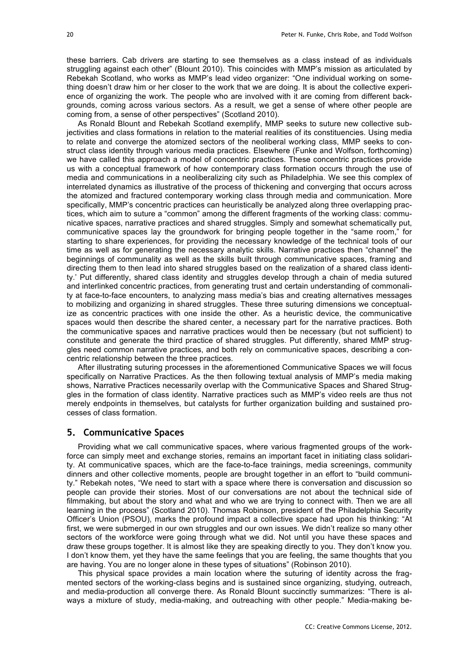these barriers. Cab drivers are starting to see themselves as a class instead of as individuals struggling against each other" (Blount 2010). This coincides with MMP's mission as articulated by Rebekah Scotland, who works as MMP's lead video organizer: "One individual working on something doesn't draw him or her closer to the work that we are doing. It is about the collective experience of organizing the work. The people who are involved with it are coming from different backgrounds, coming across various sectors. As a result, we get a sense of where other people are coming from, a sense of other perspectives" (Scotland 2010).

As Ronald Blount and Rebekah Scotland exemplify, MMP seeks to suture new collective subjectivities and class formations in relation to the material realities of its constituencies. Using media to relate and converge the atomized sectors of the neoliberal working class, MMP seeks to construct class identity through various media practices. Elsewhere (Funke and Wolfson, forthcoming) we have called this approach a model of concentric practices. These concentric practices provide us with a conceptual framework of how contemporary class formation occurs through the use of media and communications in a neoliberalizing city such as Philadelphia. We see this complex of interrelated dynamics as illustrative of the process of thickening and converging that occurs across the atomized and fractured contemporary working class through media and communication. More specifically, MMP's concentric practices can heuristically be analyzed along three overlapping practices, which aim to suture a "common" among the different fragments of the working class: communicative spaces, narrative practices and shared struggles. Simply and somewhat schematically put, communicative spaces lay the groundwork for bringing people together in the "same room," for starting to share experiences, for providing the necessary knowledge of the technical tools of our time as well as for generating the necessary analytic skills. Narrative practices then "channel" the beginnings of communality as well as the skills built through communicative spaces, framing and directing them to then lead into shared struggles based on the realization of a shared class identity.' Put differently, shared class identity and struggles develop through a chain of media sutured and interlinked concentric practices, from generating trust and certain understanding of commonality at face-to-face encounters, to analyzing mass media's bias and creating alternatives messages to mobilizing and organizing in shared struggles. These three suturing dimensions we conceptualize as concentric practices with one inside the other. As a heuristic device, the communicative spaces would then describe the shared center, a necessary part for the narrative practices. Both the communicative spaces and narrative practices would then be necessary (but not sufficient) to constitute and generate the third practice of shared struggles. Put differently, shared MMP struggles need common narrative practices, and both rely on communicative spaces, describing a concentric relationship between the three practices.

After illustrating suturing processes in the aforementioned Communicative Spaces we will focus specifically on Narrative Practices. As the then following textual analysis of MMP's media making shows, Narrative Practices necessarily overlap with the Communicative Spaces and Shared Struggles in the formation of class identity. Narrative practices such as MMP's video reels are thus not merely endpoints in themselves, but catalysts for further organization building and sustained processes of class formation.

#### **5. Communicative Spaces**

Providing what we call communicative spaces, where various fragmented groups of the workforce can simply meet and exchange stories, remains an important facet in initiating class solidarity. At communicative spaces, which are the face-to-face trainings, media screenings, community dinners and other collective moments, people are brought together in an effort to "build community." Rebekah notes, "We need to start with a space where there is conversation and discussion so people can provide their stories. Most of our conversations are not about the technical side of filmmaking, but about the story and what and who we are trying to connect with. Then we are all learning in the process" (Scotland 2010). Thomas Robinson, president of the Philadelphia Security Officer's Union (PSOU), marks the profound impact a collective space had upon his thinking: "At first, we were submerged in our own struggles and our own issues. We didn't realize so many other sectors of the workforce were going through what we did. Not until you have these spaces and draw these groups together. It is almost like they are speaking directly to you. They don't know you. I don't know them, yet they have the same feelings that you are feeling, the same thoughts that you are having. You are no longer alone in these types of situations" (Robinson 2010).

This physical space provides a main location where the suturing of identity across the fragmented sectors of the working-class begins and is sustained since organizing, studying, outreach, and media-production all converge there. As Ronald Blount succinctly summarizes: "There is always a mixture of study, media-making, and outreaching with other people." Media-making be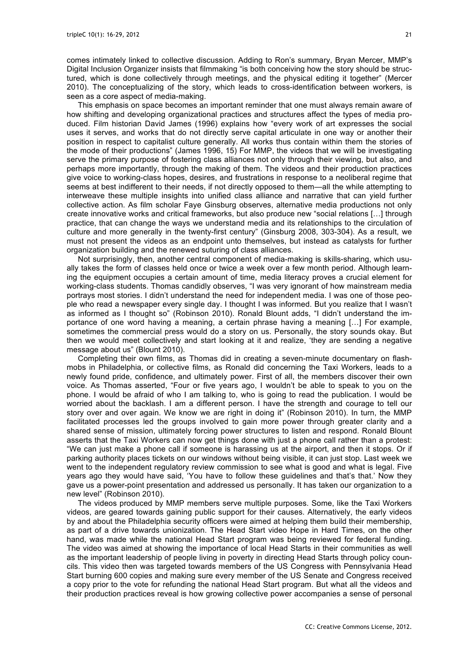comes intimately linked to collective discussion. Adding to Ron's summary, Bryan Mercer, MMP's Digital Inclusion Organizer insists that filmmaking "is both conceiving how the story should be structured, which is done collectively through meetings, and the physical editing it together" (Mercer 2010). The conceptualizing of the story, which leads to cross-identification between workers, is seen as a core aspect of media-making.

This emphasis on space becomes an important reminder that one must always remain aware of how shifting and developing organizational practices and structures affect the types of media produced. Film historian David James (1996) explains how "every work of art expresses the social uses it serves, and works that do not directly serve capital articulate in one way or another their position in respect to capitalist culture generally. All works thus contain within them the stories of the mode of their productions" (James 1996, 15) For MMP, the videos that we will be investigating serve the primary purpose of fostering class alliances not only through their viewing, but also, and perhaps more importantly, through the making of them. The videos and their production practices give voice to working-class hopes, desires, and frustrations in response to a neoliberal regime that seems at best indifferent to their needs, if not directly opposed to them—all the while attempting to interweave these multiple insights into unified class alliance and narrative that can yield further collective action. As film scholar Faye Ginsburg observes, alternative media productions not only create innovative works and critical frameworks, but also produce new "social relations […] through practice, that can change the ways we understand media and its relationships to the circulation of culture and more generally in the twenty-first century" (Ginsburg 2008, 303-304). As a result, we must not present the videos as an endpoint unto themselves, but instead as catalysts for further organization building and the renewed suturing of class alliances.

Not surprisingly, then, another central component of media-making is skills-sharing, which usually takes the form of classes held once or twice a week over a few month period. Although learning the equipment occupies a certain amount of time, media literacy proves a crucial element for working-class students. Thomas candidly observes, "I was very ignorant of how mainstream media portrays most stories. I didn't understand the need for independent media. I was one of those people who read a newspaper every single day. I thought I was informed. But you realize that I wasn't as informed as I thought so" (Robinson 2010). Ronald Blount adds, "I didn't understand the importance of one word having a meaning, a certain phrase having a meaning […] For example, sometimes the commercial press would do a story on us. Personally, the story sounds okay. But then we would meet collectively and start looking at it and realize, 'they are sending a negative message about us" (Blount 2010).

Completing their own films, as Thomas did in creating a seven-minute documentary on flashmobs in Philadelphia, or collective films, as Ronald did concerning the Taxi Workers, leads to a newly found pride, confidence, and ultimately power. First of all, the members discover their own voice. As Thomas asserted, "Four or five years ago, I wouldn't be able to speak to you on the phone. I would be afraid of who I am talking to, who is going to read the publication. I would be worried about the backlash. I am a different person. I have the strength and courage to tell our story over and over again. We know we are right in doing it" (Robinson 2010). In turn, the MMP facilitated processes led the groups involved to gain more power through greater clarity and a shared sense of mission, ultimately forcing power structures to listen and respond. Ronald Blount asserts that the Taxi Workers can now get things done with just a phone call rather than a protest: "We can just make a phone call if someone is harassing us at the airport, and then it stops. Or if parking authority places tickets on our windows without being visible, it can just stop. Last week we went to the independent regulatory review commission to see what is good and what is legal. Five years ago they would have said, 'You have to follow these guidelines and that's that.' Now they gave us a power-point presentation and addressed us personally. It has taken our organization to a new level" (Robinson 2010).

The videos produced by MMP members serve multiple purposes. Some, like the Taxi Workers videos, are geared towards gaining public support for their causes. Alternatively, the early videos by and about the Philadelphia security officers were aimed at helping them build their membership, as part of a drive towards unionization. The Head Start video Hope in Hard Times, on the other hand, was made while the national Head Start program was being reviewed for federal funding. The video was aimed at showing the importance of local Head Starts in their communities as well as the important leadership of people living in poverty in directing Head Starts through policy councils. This video then was targeted towards members of the US Congress with Pennsylvania Head Start burning 600 copies and making sure every member of the US Senate and Congress received a copy prior to the vote for refunding the national Head Start program. But what all the videos and their production practices reveal is how growing collective power accompanies a sense of personal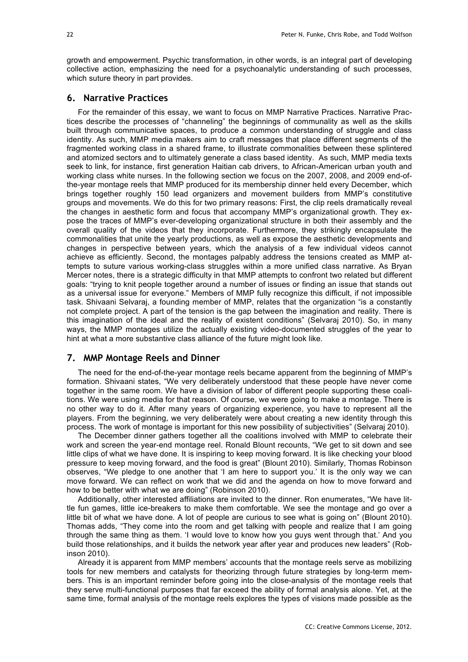growth and empowerment. Psychic transformation, in other words, is an integral part of developing collective action, emphasizing the need for a psychoanalytic understanding of such processes, which suture theory in part provides.

#### **6. Narrative Practices**

For the remainder of this essay, we want to focus on MMP Narrative Practices. Narrative Practices describe the processes of "channeling" the beginnings of communality as well as the skills built through communicative spaces, to produce a common understanding of struggle and class identity. As such, MMP media makers aim to craft messages that place different segments of the fragmented working class in a shared frame, to illustrate commonalities between these splintered and atomized sectors and to ultimately generate a class based identity. As such, MMP media texts seek to link, for instance, first generation Haitian cab drivers, to African-American urban youth and working class white nurses. In the following section we focus on the 2007, 2008, and 2009 end-ofthe-year montage reels that MMP produced for its membership dinner held every December, which brings together roughly 150 lead organizers and movement builders from MMP's constitutive groups and movements. We do this for two primary reasons: First, the clip reels dramatically reveal the changes in aesthetic form and focus that accompany MMP's organizational growth. They expose the traces of MMP's ever-developing organizational structure in both their assembly and the overall quality of the videos that they incorporate. Furthermore, they strikingly encapsulate the commonalities that unite the yearly productions, as well as expose the aesthetic developments and changes in perspective between years, which the analysis of a few individual videos cannot achieve as efficiently. Second, the montages palpably address the tensions created as MMP attempts to suture various working-class struggles within a more unified class narrative. As Bryan Mercer notes, there is a strategic difficulty in that MMP attempts to confront two related but different goals: "trying to knit people together around a number of issues or finding an issue that stands out as a universal issue for everyone." Members of MMP fully recognize this difficult, if not impossible task. Shivaani Selvaraj, a founding member of MMP, relates that the organization "is a constantly not complete project. A part of the tension is the gap between the imagination and reality. There is this imagination of the ideal and the reality of existent conditions" (Selvaraj 2010). So, in many ways, the MMP montages utilize the actually existing video-documented struggles of the year to hint at what a more substantive class alliance of the future might look like.

#### **7. MMP Montage Reels and Dinner**

The need for the end-of-the-year montage reels became apparent from the beginning of MMP's formation. Shivaani states, "We very deliberately understood that these people have never come together in the same room. We have a division of labor of different people supporting these coalitions. We were using media for that reason. Of course, we were going to make a montage. There is no other way to do it. After many years of organizing experience, you have to represent all the players. From the beginning, we very deliberately were about creating a new identity through this process. The work of montage is important for this new possibility of subjectivities" (Selvaraj 2010).

The December dinner gathers together all the coalitions involved with MMP to celebrate their work and screen the year-end montage reel. Ronald Blount recounts, "We get to sit down and see little clips of what we have done. It is inspiring to keep moving forward. It is like checking your blood pressure to keep moving forward, and the food is great" (Blount 2010). Similarly, Thomas Robinson observes, "We pledge to one another that 'I am here to support you.' It is the only way we can move forward. We can reflect on work that we did and the agenda on how to move forward and how to be better with what we are doing" (Robinson 2010).

Additionally, other interested affiliations are invited to the dinner. Ron enumerates, "We have little fun games, little ice-breakers to make them comfortable. We see the montage and go over a little bit of what we have done. A lot of people are curious to see what is going on" (Blount 2010). Thomas adds, "They come into the room and get talking with people and realize that I am going through the same thing as them. 'I would love to know how you guys went through that.' And you build those relationships, and it builds the network year after year and produces new leaders" (Robinson 2010).

Already it is apparent from MMP members' accounts that the montage reels serve as mobilizing tools for new members and catalysts for theorizing through future strategies by long-term members. This is an important reminder before going into the close-analysis of the montage reels that they serve multi-functional purposes that far exceed the ability of formal analysis alone. Yet, at the same time, formal analysis of the montage reels explores the types of visions made possible as the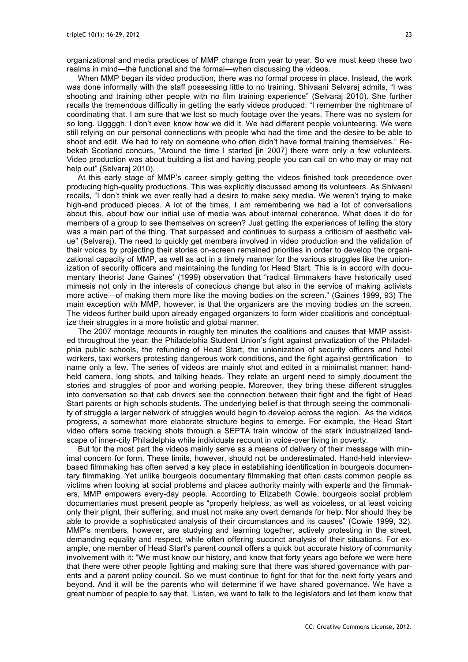organizational and media practices of MMP change from year to year. So we must keep these two realms in mind—the functional and the formal—when discussing the videos.

When MMP began its video production, there was no formal process in place. Instead, the work was done informally with the staff possessing little to no training. Shivaani Selvaraj admits, "I was shooting and training other people with no film training experience" (Selvaraj 2010). She further recalls the tremendous difficulty in getting the early videos produced: "I remember the nightmare of coordinating that. I am sure that we lost so much footage over the years. There was no system for so long. Uggggh, I don't even know how we did it. We had different people volunteering. We were still relying on our personal connections with people who had the time and the desire to be able to shoot and edit. We had to rely on someone who often didn't have formal training themselves." Rebekah Scotland concurs, "Around the time I started [in 2007] there were only a few volunteers. Video production was about building a list and having people you can call on who may or may not help out" (Selvaraj 2010).

At this early stage of MMP's career simply getting the videos finished took precedence over producing high-quality productions. This was explicitly discussed among its volunteers. As Shivaani recalls, "I don't think we ever really had a desire to make sexy media. We weren't trying to make high-end produced pieces. A lot of the times, I am remembering we had a lot of conversations about this, about how our initial use of media was about internal coherence. What does it do for members of a group to see themselves on screen? Just getting the experiences of telling the story was a main part of the thing. That surpassed and continues to surpass a criticism of aesthetic value" (Selvaraj). The need to quickly get members involved in video production and the validation of their voices by projecting their stories on-screen remained priorities in order to develop the organizational capacity of MMP, as well as act in a timely manner for the various struggles like the unionization of security officers and maintaining the funding for Head Start. This is in accord with documentary theorist Jane Gaines' (1999) observation that "radical filmmakers have historically used mimesis not only in the interests of conscious change but also in the service of making activists more active—of making them more like the moving bodies on the screen." (Gaines 1999, 93) The main exception with MMP, however, is that the organizers are the moving bodies on the screen. The videos further build upon already engaged organizers to form wider coalitions and conceptualize their struggles in a more holistic and global manner.

The 2007 montage recounts in roughly ten minutes the coalitions and causes that MMP assisted throughout the year: the Philadelphia Student Union's fight against privatization of the Philadelphia public schools, the refunding of Head Start, the unionization of security officers and hotel workers, taxi workers protesting dangerous work conditions, and the fight against gentrification—to name only a few. The series of videos are mainly shot and edited in a minimalist manner: handheld camera, long shots, and talking heads. They relate an urgent need to simply document the stories and struggles of poor and working people. Moreover, they bring these different struggles into conversation so that cab drivers see the connection between their fight and the fight of Head Start parents or high schools students. The underlying belief is that through seeing the commonality of struggle a larger network of struggles would begin to develop across the region. As the videos progress, a somewhat more elaborate structure begins to emerge. For example, the Head Start video offers some tracking shots through a SEPTA train window of the stark industrialized landscape of inner-city Philadelphia while individuals recount in voice-over living in poverty.

But for the most part the videos mainly serve as a means of delivery of their message with minimal concern for form. These limits, however, should not be underestimated. Hand-held interviewbased filmmaking has often served a key place in establishing identification in bourgeois documentary filmmaking. Yet unlike bourgeois documentary filmmaking that often casts common people as victims when looking at social problems and places authority mainly with experts and the filmmakers, MMP empowers every-day people. According to Elizabeth Cowie, bourgeois social problem documentaries must present people as "properly helpless, as well as voiceless, or at least voicing only their plight, their suffering, and must not make any overt demands for help. Nor should they be able to provide a sophisticated analysis of their circumstances and its causes" (Cowie 1999, 32). MMP's members, however, are studying and learning together, actively protesting in the street, demanding equality and respect, while often offering succinct analysis of their situations. For example, one member of Head Start's parent council offers a quick but accurate history of community involvement with it: "We must know our history, and know that forty years ago before we were here that there were other people fighting and making sure that there was shared governance with parents and a parent policy council. So we must continue to fight for that for the next forty years and beyond. And it will be the parents who will determine if we have shared governance. We have a great number of people to say that, 'Listen, we want to talk to the legislators and let them know that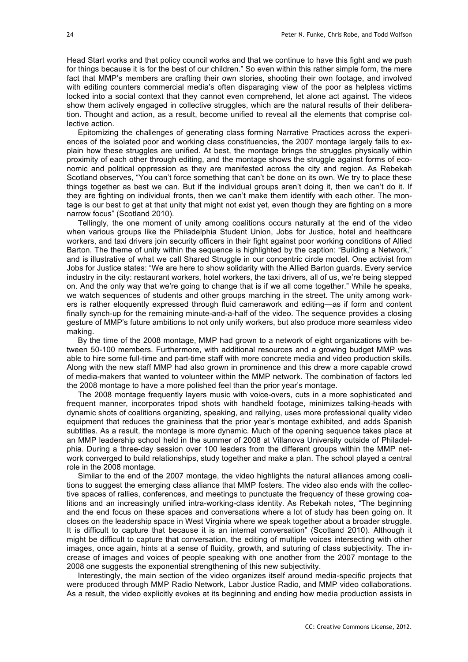Head Start works and that policy council works and that we continue to have this fight and we push for things because it is for the best of our children." So even within this rather simple form, the mere fact that MMP's members are crafting their own stories, shooting their own footage, and involved with editing counters commercial media's often disparaging view of the poor as helpless victims locked into a social context that they cannot even comprehend, let alone act against. The videos show them actively engaged in collective struggles, which are the natural results of their deliberation. Thought and action, as a result, become unified to reveal all the elements that comprise collective action.

Epitomizing the challenges of generating class forming Narrative Practices across the experiences of the isolated poor and working class constituencies, the 2007 montage largely fails to explain how these struggles are unified. At best, the montage brings the struggles physically within proximity of each other through editing, and the montage shows the struggle against forms of economic and political oppression as they are manifested across the city and region. As Rebekah Scotland observes, "You can't force something that can't be done on its own. We try to place these things together as best we can. But if the individual groups aren't doing it, then we can't do it. If they are fighting on individual fronts, then we can't make them identify with each other. The montage is our best to get at that unity that might not exist yet, even though they are fighting on a more narrow focus" (Scotland 2010).

Tellingly, the one moment of unity among coalitions occurs naturally at the end of the video when various groups like the Philadelphia Student Union, Jobs for Justice, hotel and healthcare workers, and taxi drivers join security officers in their fight against poor working conditions of Allied Barton. The theme of unity within the sequence is highlighted by the caption: "Building a Network," and is illustrative of what we call Shared Struggle in our concentric circle model. One activist from Jobs for Justice states: "We are here to show solidarity with the Allied Barton guards. Every service industry in the city: restaurant workers, hotel workers, the taxi drivers, all of us, we're being stepped on. And the only way that we're going to change that is if we all come together." While he speaks, we watch sequences of students and other groups marching in the street. The unity among workers is rather eloquently expressed through fluid camerawork and editing—as if form and content finally synch-up for the remaining minute-and-a-half of the video. The sequence provides a closing gesture of MMP's future ambitions to not only unify workers, but also produce more seamless video making.

By the time of the 2008 montage, MMP had grown to a network of eight organizations with between 50-100 members. Furthermore, with additional resources and a growing budget MMP was able to hire some full-time and part-time staff with more concrete media and video production skills. Along with the new staff MMP had also grown in prominence and this drew a more capable crowd of media-makers that wanted to volunteer within the MMP network. The combination of factors led the 2008 montage to have a more polished feel than the prior year's montage.

The 2008 montage frequently layers music with voice-overs, cuts in a more sophisticated and frequent manner, incorporates tripod shots with handheld footage, minimizes talking-heads with dynamic shots of coalitions organizing, speaking, and rallying, uses more professional quality video equipment that reduces the graininess that the prior year's montage exhibited, and adds Spanish subtitles. As a result, the montage is more dynamic. Much of the opening sequence takes place at an MMP leadership school held in the summer of 2008 at Villanova University outside of Philadelphia. During a three-day session over 100 leaders from the different groups within the MMP network converged to build relationships, study together and make a plan. The school played a central role in the 2008 montage.

Similar to the end of the 2007 montage, the video highlights the natural alliances among coalitions to suggest the emerging class alliance that MMP fosters. The video also ends with the collective spaces of rallies, conferences, and meetings to punctuate the frequency of these growing coalitions and an increasingly unified intra-working-class identity. As Rebekah notes, "The beginning and the end focus on these spaces and conversations where a lot of study has been going on. It closes on the leadership space in West Virginia where we speak together about a broader struggle. It is difficult to capture that because it is an internal conversation" (Scotland 2010). Although it might be difficult to capture that conversation, the editing of multiple voices intersecting with other images, once again, hints at a sense of fluidity, growth, and suturing of class subjectivity. The increase of images and voices of people speaking with one another from the 2007 montage to the 2008 one suggests the exponential strengthening of this new subjectivity.

Interestingly, the main section of the video organizes itself around media-specific projects that were produced through MMP Radio Network, Labor Justice Radio, and MMP video collaborations. As a result, the video explicitly evokes at its beginning and ending how media production assists in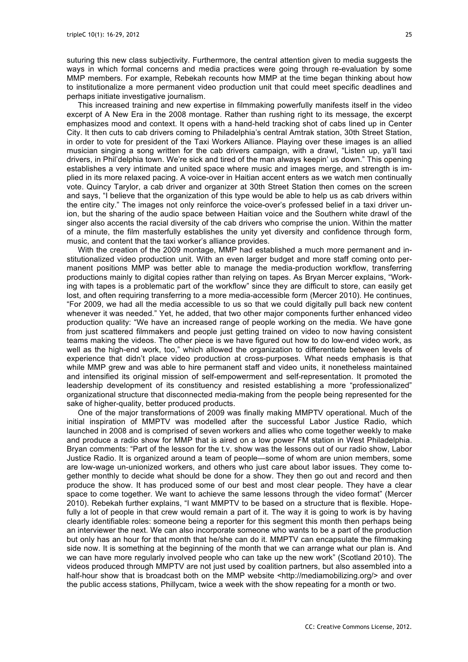suturing this new class subjectivity. Furthermore, the central attention given to media suggests the ways in which formal concerns and media practices were going through re-evaluation by some MMP members. For example, Rebekah recounts how MMP at the time began thinking about how to institutionalize a more permanent video production unit that could meet specific deadlines and perhaps initiate investigative journalism.

This increased training and new expertise in filmmaking powerfully manifests itself in the video excerpt of A New Era in the 2008 montage. Rather than rushing right to its message, the excerpt emphasizes mood and context. It opens with a hand-held tracking shot of cabs lined up in Center City. It then cuts to cab drivers coming to Philadelphia's central Amtrak station, 30th Street Station, in order to vote for president of the Taxi Workers Alliance. Playing over these images is an allied musician singing a song written for the cab drivers campaign, with a drawl, "Listen up, ya'll taxi drivers, in Phil'delphia town. We're sick and tired of the man always keepin' us down." This opening establishes a very intimate and united space where music and images merge, and strength is implied in its more relaxed pacing. A voice-over in Haitian accent enters as we watch men continually vote. Quincy Tarylor, a cab driver and organizer at 30th Street Station then comes on the screen and says, "I believe that the organization of this type would be able to help us as cab drivers within the entire city." The images not only reinforce the voice-over's professed belief in a taxi driver union, but the sharing of the audio space between Haitian voice and the Southern white drawl of the singer also accents the racial diversity of the cab drivers who comprise the union. Within the matter of a minute, the film masterfully establishes the unity yet diversity and confidence through form, music, and content that the taxi worker's alliance provides.

With the creation of the 2009 montage, MMP had established a much more permanent and institutionalized video production unit. With an even larger budget and more staff coming onto permanent positions MMP was better able to manage the media-production workflow, transferring productions mainly to digital copies rather than relying on tapes. As Bryan Mercer explains, "Working with tapes is a problematic part of the workflow" since they are difficult to store, can easily get lost, and often requiring transferring to a more media-accessible form (Mercer 2010). He continues, "For 2009, we had all the media accessible to us so that we could digitally pull back new content whenever it was needed." Yet, he added, that two other major components further enhanced video production quality: "We have an increased range of people working on the media. We have gone from just scattered filmmakers and people just getting trained on video to now having consistent teams making the videos. The other piece is we have figured out how to do low-end video work, as well as the high-end work, too," which allowed the organization to differentiate between levels of experience that didn't place video production at cross-purposes. What needs emphasis is that while MMP grew and was able to hire permanent staff and video units, it nonetheless maintained and intensified its original mission of self-empowerment and self-representation. It promoted the leadership development of its constituency and resisted establishing a more "professionalized" organizational structure that disconnected media-making from the people being represented for the sake of higher-quality, better produced products.

One of the major transformations of 2009 was finally making MMPTV operational. Much of the initial inspiration of MMPTV was modelled after the successful Labor Justice Radio, which launched in 2008 and is comprised of seven workers and allies who come together weekly to make and produce a radio show for MMP that is aired on a low power FM station in West Philadelphia. Bryan comments: "Part of the lesson for the t.v. show was the lessons out of our radio show, Labor Justice Radio. It is organized around a team of people—some of whom are union members, some are low-wage un-unionized workers, and others who just care about labor issues. They come together monthly to decide what should be done for a show. They then go out and record and then produce the show. It has produced some of our best and most clear people. They have a clear space to come together. We want to achieve the same lessons through the video format" (Mercer 2010). Rebekah further explains, "I want MMPTV to be based on a structure that is flexible. Hopefully a lot of people in that crew would remain a part of it. The way it is going to work is by having clearly identifiable roles: someone being a reporter for this segment this month then perhaps being an interviewer the next. We can also incorporate someone who wants to be a part of the production but only has an hour for that month that he/she can do it. MMPTV can encapsulate the filmmaking side now. It is something at the beginning of the month that we can arrange what our plan is. And we can have more regularly involved people who can take up the new work" (Scotland 2010). The videos produced through MMPTV are not just used by coalition partners, but also assembled into a half-hour show that is broadcast both on the MMP website <http://mediamobilizing.org/> and over the public access stations, Phillycam, twice a week with the show repeating for a month or two.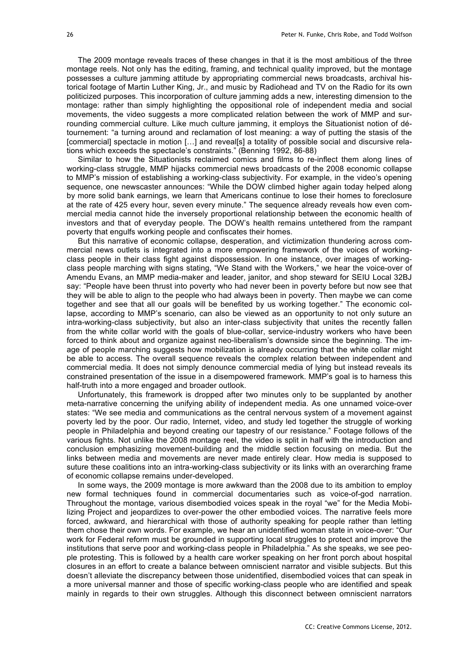The 2009 montage reveals traces of these changes in that it is the most ambitious of the three montage reels. Not only has the editing, framing, and technical quality improved, but the montage possesses a culture jamming attitude by appropriating commercial news broadcasts, archival historical footage of Martin Luther King, Jr., and music by Radiohead and TV on the Radio for its own politicized purposes. This incorporation of culture jamming adds a new, interesting dimension to the montage: rather than simply highlighting the oppositional role of independent media and social movements, the video suggests a more complicated relation between the work of MMP and surrounding commercial culture. Like much culture jamming, it employs the Situationist notion of détournement: "a turning around and reclamation of lost meaning: a way of putting the stasis of the [commercial] spectacle in motion [...] and reveal[s] a totality of possible social and discursive relations which exceeds the spectacle's constraints." (Benning 1992, 86-88)

Similar to how the Situationists reclaimed comics and films to re-inflect them along lines of working-class struggle, MMP hijacks commercial news broadcasts of the 2008 economic collapse to MMP's mission of establishing a working-class subjectivity. For example, in the video's opening sequence, one newscaster announces: "While the DOW climbed higher again today helped along by more solid bank earnings, we learn that Americans continue to lose their homes to foreclosure at the rate of 425 every hour, seven every minute." The sequence already reveals how even commercial media cannot hide the inversely proportional relationship between the economic health of investors and that of everyday people. The DOW's health remains untethered from the rampant poverty that engulfs working people and confiscates their homes.

But this narrative of economic collapse, desperation, and victimization thundering across commercial news outlets is integrated into a more empowering framework of the voices of workingclass people in their class fight against dispossession. In one instance, over images of workingclass people marching with signs stating, "We Stand with the Workers," we hear the voice-over of Amendu Evans, an MMP media-maker and leader, janitor, and shop steward for SEIU Local 32BJ say: "People have been thrust into poverty who had never been in poverty before but now see that they will be able to align to the people who had always been in poverty. Then maybe we can come together and see that all our goals will be benefited by us working together." The economic collapse, according to MMP's scenario, can also be viewed as an opportunity to not only suture an intra-working-class subjectivity, but also an inter-class subjectivity that unites the recently fallen from the white collar world with the goals of blue-collar, service-industry workers who have been forced to think about and organize against neo-liberalism's downside since the beginning. The image of people marching suggests how mobilization is already occurring that the white collar might be able to access. The overall sequence reveals the complex relation between independent and commercial media. It does not simply denounce commercial media of lying but instead reveals its constrained presentation of the issue in a disempowered framework. MMP's goal is to harness this half-truth into a more engaged and broader outlook.

Unfortunately, this framework is dropped after two minutes only to be supplanted by another meta-narrative concerning the unifying ability of independent media. As one unnamed voice-over states: "We see media and communications as the central nervous system of a movement against poverty led by the poor. Our radio, Internet, video, and study led together the struggle of working people in Philadelphia and beyond creating our tapestry of our resistance." Footage follows of the various fights. Not unlike the 2008 montage reel, the video is split in half with the introduction and conclusion emphasizing movement-building and the middle section focusing on media. But the links between media and movements are never made entirely clear. How media is supposed to suture these coalitions into an intra-working-class subjectivity or its links with an overarching frame of economic collapse remains under-developed.

In some ways, the 2009 montage is more awkward than the 2008 due to its ambition to employ new formal techniques found in commercial documentaries such as voice-of-god narration. Throughout the montage, various disembodied voices speak in the royal "we" for the Media Mobilizing Project and jeopardizes to over-power the other embodied voices. The narrative feels more forced, awkward, and hierarchical with those of authority speaking for people rather than letting them chose their own words. For example, we hear an unidentified woman state in voice-over: "Our work for Federal reform must be grounded in supporting local struggles to protect and improve the institutions that serve poor and working-class people in Philadelphia." As she speaks, we see people protesting. This is followed by a health care worker speaking on her front porch about hospital closures in an effort to create a balance between omniscient narrator and visible subjects. But this doesn't alleviate the discrepancy between those unidentified, disembodied voices that can speak in a more universal manner and those of specific working-class people who are identified and speak mainly in regards to their own struggles. Although this disconnect between omniscient narrators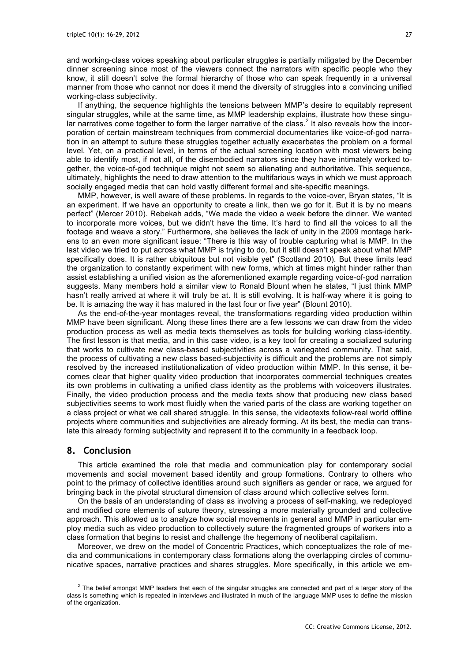and working-class voices speaking about particular struggles is partially mitigated by the December dinner screening since most of the viewers connect the narrators with specific people who they know, it still doesn't solve the formal hierarchy of those who can speak frequently in a universal manner from those who cannot nor does it mend the diversity of struggles into a convincing unified working-class subjectivity.

If anything, the sequence highlights the tensions between MMP's desire to equitably represent singular struggles, while at the same time, as MMP leadership explains, illustrate how these singular narratives come together to form the larger narrative of the class.<sup>2</sup> It also reveals how the incorporation of certain mainstream techniques from commercial documentaries like voice-of-god narration in an attempt to suture these struggles together actually exacerbates the problem on a formal level. Yet, on a practical level, in terms of the actual screening location with most viewers being able to identify most, if not all, of the disembodied narrators since they have intimately worked together, the voice-of-god technique might not seem so alienating and authoritative. This sequence, ultimately, highlights the need to draw attention to the multifarious ways in which we must approach socially engaged media that can hold vastly different formal and site-specific meanings.

MMP, however, is well aware of these problems. In regards to the voice-over, Bryan states, "It is an experiment. If we have an opportunity to create a link, then we go for it. But it is by no means perfect" (Mercer 2010). Rebekah adds, "We made the video a week before the dinner. We wanted to incorporate more voices, but we didn't have the time. It's hard to find all the voices to all the footage and weave a story." Furthermore, she believes the lack of unity in the 2009 montage harkens to an even more significant issue: "There is this way of trouble capturing what is MMP. In the last video we tried to put across what MMP is trying to do, but it still doesn't speak about what MMP specifically does. It is rather ubiquitous but not visible yet" (Scotland 2010). But these limits lead the organization to constantly experiment with new forms, which at times might hinder rather than assist establishing a unified vision as the aforementioned example regarding voice-of-god narration suggests. Many members hold a similar view to Ronald Blount when he states, "I just think MMP hasn't really arrived at where it will truly be at. It is still evolving. It is half-way where it is going to be. It is amazing the way it has matured in the last four or five year" (Blount 2010).

As the end-of-the-year montages reveal, the transformations regarding video production within MMP have been significant. Along these lines there are a few lessons we can draw from the video production process as well as media texts themselves as tools for building working class-identity. The first lesson is that media, and in this case video, is a key tool for creating a socialized suturing that works to cultivate new class-based subjectivities across a variegated community. That said, the process of cultivating a new class based-subjectivity is difficult and the problems are not simply resolved by the increased institutionalization of video production within MMP. In this sense, it becomes clear that higher quality video production that incorporates commercial techniques creates its own problems in cultivating a unified class identity as the problems with voiceovers illustrates. Finally, the video production process and the media texts show that producing new class based subjectivities seems to work most fluidly when the varied parts of the class are working together on a class project or what we call shared struggle. In this sense, the videotexts follow-real world offline projects where communities and subjectivities are already forming. At its best, the media can translate this already forming subjectivity and represent it to the community in a feedback loop.

#### **8. Conclusion**

This article examined the role that media and communication play for contemporary social movements and social movement based identity and group formations. Contrary to others who point to the primacy of collective identities around such signifiers as gender or race, we argued for bringing back in the pivotal structural dimension of class around which collective selves form.

On the basis of an understanding of class as involving a process of self-making, we redeployed and modified core elements of suture theory, stressing a more materially grounded and collective approach. This allowed us to analyze how social movements in general and MMP in particular employ media such as video production to collectively suture the fragmented groups of workers into a class formation that begins to resist and challenge the hegemony of neoliberal capitalism.

Moreover, we drew on the model of Concentric Practices, which conceptualizes the role of media and communications in contemporary class formations along the overlapping circles of communicative spaces, narrative practices and shares struggles. More specifically, in this article we em-

 $2$  The belief amongst MMP leaders that each of the singular struggles are connected and part of a larger story of the class is something which is repeated in interviews and illustrated in much of the language MMP uses to define the mission of the organization.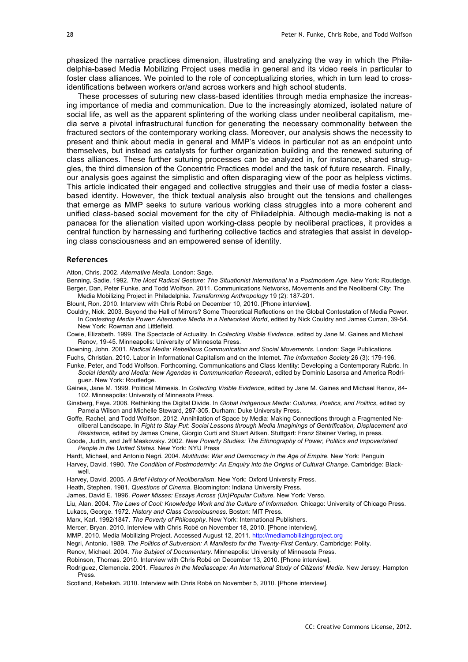phasized the narrative practices dimension, illustrating and analyzing the way in which the Philadelphia-based Media Mobilizing Project uses media in general and its video reels in particular to foster class alliances. We pointed to the role of conceptualizing stories, which in turn lead to crossidentifications between workers or/and across workers and high school students.

These processes of suturing new class-based identities through media emphasize the increasing importance of media and communication. Due to the increasingly atomized, isolated nature of social life, as well as the apparent splintering of the working class under neoliberal capitalism, media serve a pivotal infrastructural function for generating the necessary commonality between the fractured sectors of the contemporary working class. Moreover, our analysis shows the necessity to present and think about media in general and MMP's videos in particular not as an endpoint unto themselves, but instead as catalysts for further organization building and the renewed suturing of class alliances. These further suturing processes can be analyzed in, for instance, shared struggles, the third dimension of the Concentric Practices model and the task of future research. Finally, our analysis goes against the simplistic and often disparaging view of the poor as helpless victims. This article indicated their engaged and collective struggles and their use of media foster a classbased identity. However, the thick textual analysis also brought out the tensions and challenges that emerge as MMP seeks to suture various working class struggles into a more coherent and unified class-based social movement for the city of Philadelphia. Although media-making is not a panacea for the alienation visited upon working-class people by neoliberal practices, it provides a central function by harnessing and furthering collective tactics and strategies that assist in developing class consciousness and an empowered sense of identity.

#### **References**

Atton, Chris. 2002. *Alternative Media*. London: Sage.

Benning, Sadie. 1992. *The Most Radical Gesture: The Situationist International in a Postmodern Age.* New York: Routledge. Berger, Dan, Peter Funke, and Todd Wolfson. 2011. Communications Networks, Movements and the Neoliberal City: The Media Mobilizing Project in Philadelphia. *Transforming Anthropology* 19 (2): 187-201.

Blount, Ron. 2010. Interview with Chris Robé on December 10, 2010. [Phone interview].

- Couldry, Nick. 2003. Beyond the Hall of Mirrors? Some Theoretical Reflections on the Global Contestation of Media Power. In Contesting Media Power: Alternative Media in a Networked World, edited by Nick Couldry and James Curran, 39-54. New York: Rowman and Littlefield.
- Cowie, Elizabeth. 1999. The Spectacle of Actuality. In *Collecting Visible Evidence*, edited by Jane M. Gaines and Michael Renov, 19-45. Minneapolis: University of Minnesota Press.

Downing, John. 2001. *Radical Media: Rebellious Communication and Social Movements.* London: Sage Publications. Fuchs, Christian. 2010. Labor in Informational Capitalism and on the Internet. *The Information Society* 26 (3): 179-196.

Funke, Peter, and Todd Wolfson. Forthcoming. Communications and Class Identity: Developing a Contemporary Rubric. In *Social Identity and Media: New Agendas in Communication Research*, edited by Dominic Lasorsa and America Rodriguez. New York: Routledge.

Gaines, Jane M. 1999. Political Mimesis. In *Collecting Visible Evidence*, edited by Jane M. Gaines and Michael Renov, 84- 102. Minneapolis: University of Minnesota Press.

Ginsberg, Faye. 2008. Rethinking the Digital Divide. In *Global Indigenous Media: Cultures, Poetics, and Politics*, edited by Pamela Wilson and Michelle Steward, 287-305. Durham: Duke University Press.

Goffe, Rachel, and Todd Wolfson. 2012. Annihilation of Space by Media: Making Connections through a Fragmented Neoliberal Landscape. In *Fight to Stay Put: Social Lessons through Media Imaginings of Gentrification, Displacement and Resistance,* edited by James Craine, Giorgio Curti and Stuart Aitken. Stuttgart: Franz Steiner Verlag, in press.

Goode, Judith, and Jeff Maskovsky. 2002. *New Poverty Studies: The Ethnography of Power, Politics and Impoverished People in the United States.* New York: NYU Press

Hardt, Michael, and Antonio Negri. 2004. *Multitude: War and Democracy in the Age of Empire.* New York: Penguin Harvey, David. 1990. *The Condition of Postmodernity: An Enquiry into the Origins of Cultural Change.* Cambridge: Blackwell.

Harvey, David. 2005. *A Brief History of Neoliberalism*. New York: Oxford University Press.

Heath, Stephen. 1981. *Questions of Cinema*. Bloomington: Indiana University Press.

James, David E. 1996. *Power Misses: Essays Across (Un)Popular Culture.* New York: Verso.

Liu, Alan. 2004. *The Laws of Cool: Knowledge Work and the Culture of Information*. Chicago: University of Chicago Press.

Lukacs, George. 1972. *History and Class Consciousness*. Boston: MIT Press.

Marx, Karl. 1992/1847. *The Poverty of Philosophy*. New York: International Publishers.

Mercer, Bryan. 2010. Interview with Chris Robé on November 18, 2010. [Phone interview].

MMP. 2010. Media Mobilizing Project. Accessed August 12, 2011. http://mediamobilizingproject.org

Negri, Antonio. 1989. *The Politics of Subversion: A Manifesto for the Twenty-First Century.* Cambridge: Polity.

Renov, Michael. 2004. *The Subject of Documentary*. Minneapolis: University of Minnesota Press.

Robinson, Thomas. 2010. Interview with Chris Robé on December 13, 2010. [Phone interview].

Rodriguez, Clemencia. 2001. *Fissures in the Mediascape: An International Study of Citizens' Media.* New Jersey: Hampton Press.

Scotland, Rebekah. 2010. Interview with Chris Robé on November 5, 2010. [Phone interview].